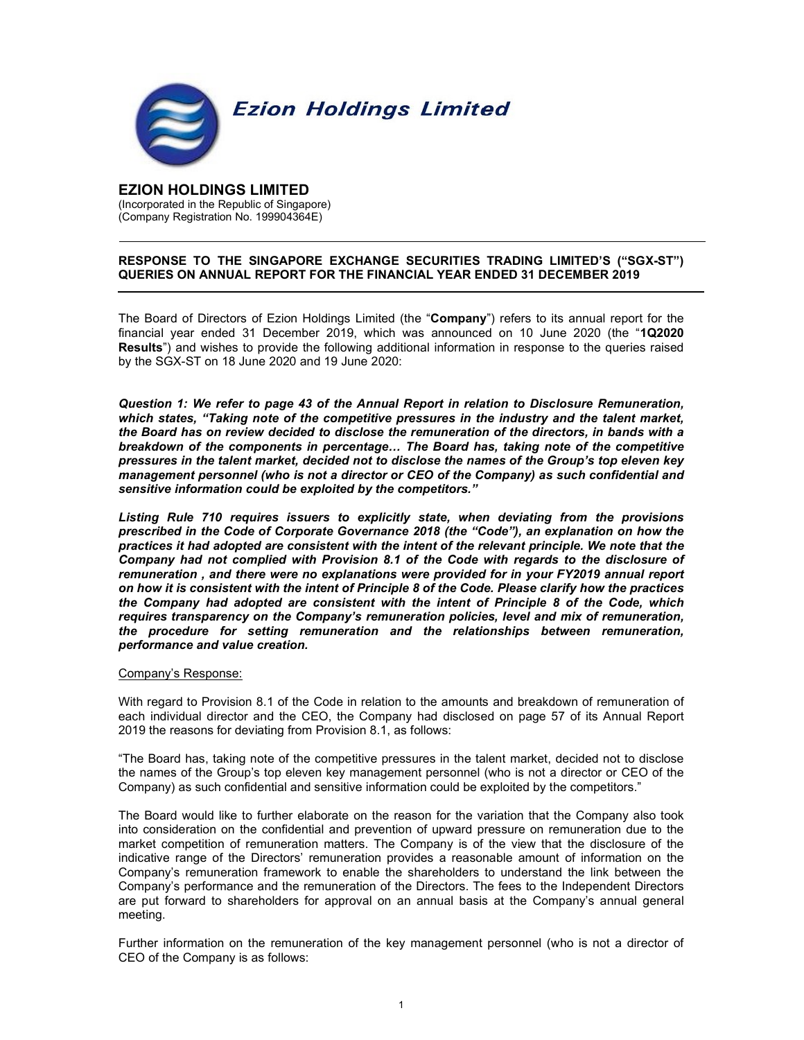

# EZION HOLDINGS LIMITED

(Incorporated in the Republic of Singapore) (Company Registration No. 199904364E)

# RESPONSE TO THE SINGAPORE EXCHANGE SECURITIES TRADING LIMITED'S ("SGX-ST") QUERIES ON ANNUAL REPORT FOR THE FINANCIAL YEAR ENDED 31 DECEMBER 2019

The Board of Directors of Ezion Holdings Limited (the "Company") refers to its annual report for the financial year ended 31 December 2019, which was announced on 10 June 2020 (the "1Q2020 Results") and wishes to provide the following additional information in response to the queries raised by the SGX-ST on 18 June 2020 and 19 June 2020:

Question 1: We refer to page 43 of the Annual Report in relation to Disclosure Remuneration, which states, "Taking note of the competitive pressures in the industry and the talent market, the Board has on review decided to disclose the remuneration of the directors, in bands with a breakdown of the components in percentage… The Board has, taking note of the competitive pressures in the talent market, decided not to disclose the names of the Group's top eleven key management personnel (who is not a director or CEO of the Company) as such confidential and sensitive information could be exploited by the competitors."

Listing Rule 710 requires issuers to explicitly state, when deviating from the provisions prescribed in the Code of Corporate Governance 2018 (the "Code"), an explanation on how the practices it had adopted are consistent with the intent of the relevant principle. We note that the Company had not complied with Provision 8.1 of the Code with regards to the disclosure of remuneration , and there were no explanations were provided for in your FY2019 annual report on how it is consistent with the intent of Principle 8 of the Code. Please clarify how the practices the Company had adopted are consistent with the intent of Principle 8 of the Code, which requires transparency on the Company's remuneration policies, level and mix of remuneration, the procedure for setting remuneration and the relationships between remuneration, performance and value creation.

# Company's Response:

With regard to Provision 8.1 of the Code in relation to the amounts and breakdown of remuneration of each individual director and the CEO, the Company had disclosed on page 57 of its Annual Report 2019 the reasons for deviating from Provision 8.1, as follows:

"The Board has, taking note of the competitive pressures in the talent market, decided not to disclose the names of the Group's top eleven key management personnel (who is not a director or CEO of the Company) as such confidential and sensitive information could be exploited by the competitors."

The Board would like to further elaborate on the reason for the variation that the Company also took into consideration on the confidential and prevention of upward pressure on remuneration due to the market competition of remuneration matters. The Company is of the view that the disclosure of the indicative range of the Directors' remuneration provides a reasonable amount of information on the Company's remuneration framework to enable the shareholders to understand the link between the Company's performance and the remuneration of the Directors. The fees to the Independent Directors are put forward to shareholders for approval on an annual basis at the Company's annual general meeting.

Further information on the remuneration of the key management personnel (who is not a director of CEO of the Company is as follows: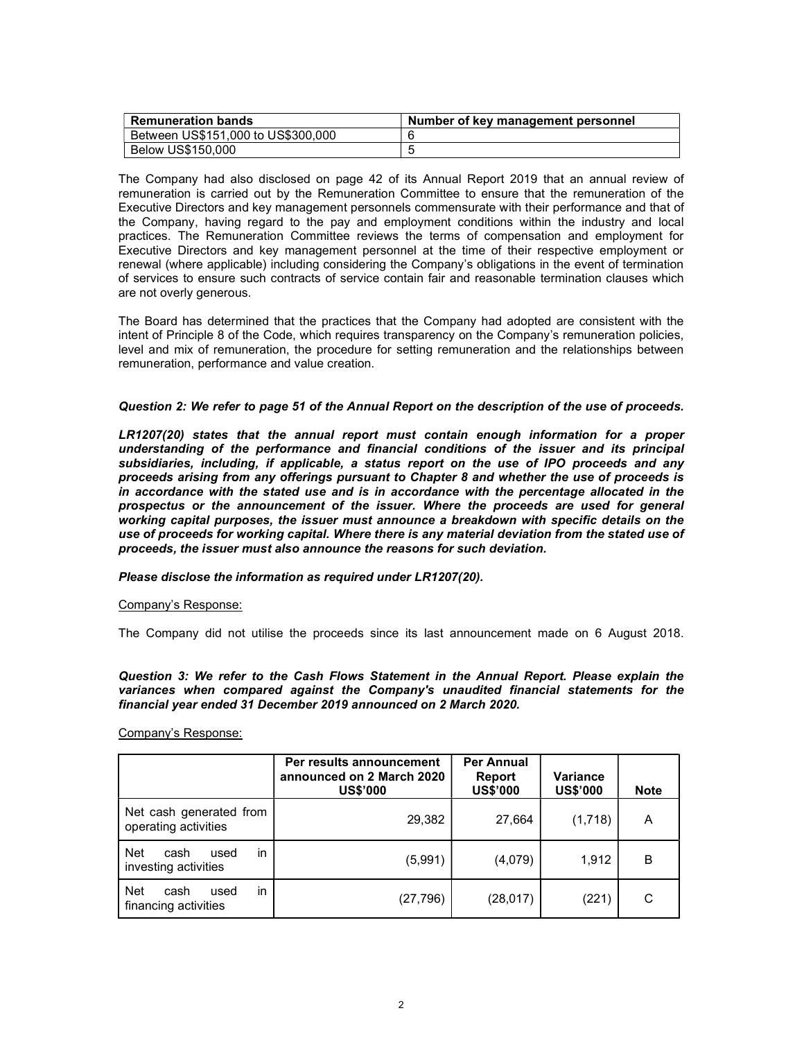| <b>Remuneration bands</b>          | Number of key management personnel |
|------------------------------------|------------------------------------|
| Between US\$151,000 to US\$300,000 |                                    |
| Below US\$150,000                  |                                    |

The Company had also disclosed on page 42 of its Annual Report 2019 that an annual review of remuneration is carried out by the Remuneration Committee to ensure that the remuneration of the Executive Directors and key management personnels commensurate with their performance and that of the Company, having regard to the pay and employment conditions within the industry and local practices. The Remuneration Committee reviews the terms of compensation and employment for Executive Directors and key management personnel at the time of their respective employment or renewal (where applicable) including considering the Company's obligations in the event of termination of services to ensure such contracts of service contain fair and reasonable termination clauses which are not overly generous.

The Board has determined that the practices that the Company had adopted are consistent with the intent of Principle 8 of the Code, which requires transparency on the Company's remuneration policies, level and mix of remuneration, the procedure for setting remuneration and the relationships between remuneration, performance and value creation.

## Question 2: We refer to page 51 of the Annual Report on the description of the use of proceeds.

LR1207(20) states that the annual report must contain enough information for a proper understanding of the performance and financial conditions of the issuer and its principal subsidiaries, including, if applicable, a status report on the use of IPO proceeds and any proceeds arising from any offerings pursuant to Chapter 8 and whether the use of proceeds is in accordance with the stated use and is in accordance with the percentage allocated in the prospectus or the announcement of the issuer. Where the proceeds are used for general working capital purposes, the issuer must announce a breakdown with specific details on the use of proceeds for working capital. Where there is any material deviation from the stated use of proceeds, the issuer must also announce the reasons for such deviation.

# Please disclose the information as required under LR1207(20).

### Company's Response:

The Company did not utilise the proceeds since its last announcement made on 6 August 2018.

Question 3: We refer to the Cash Flows Statement in the Annual Report. Please explain the variances when compared against the Company's unaudited financial statements for the financial year ended 31 December 2019 announced on 2 March 2020.

Company's Response:

|                                                          | Per results announcement<br>announced on 2 March 2020<br><b>US\$'000</b> | <b>Per Annual</b><br>Report<br><b>US\$'000</b> | Variance<br><b>US\$'000</b> | <b>Note</b> |
|----------------------------------------------------------|--------------------------------------------------------------------------|------------------------------------------------|-----------------------------|-------------|
| Net cash generated from<br>operating activities          | 29,382                                                                   | 27,664                                         | (1,718)                     | A           |
| in<br><b>Net</b><br>cash<br>used<br>investing activities | (5,991)                                                                  | (4,079)                                        | 1,912                       | B           |
| in<br><b>Net</b><br>cash<br>used<br>financing activities | (27, 796)                                                                | (28, 017)                                      | (221)                       | С           |